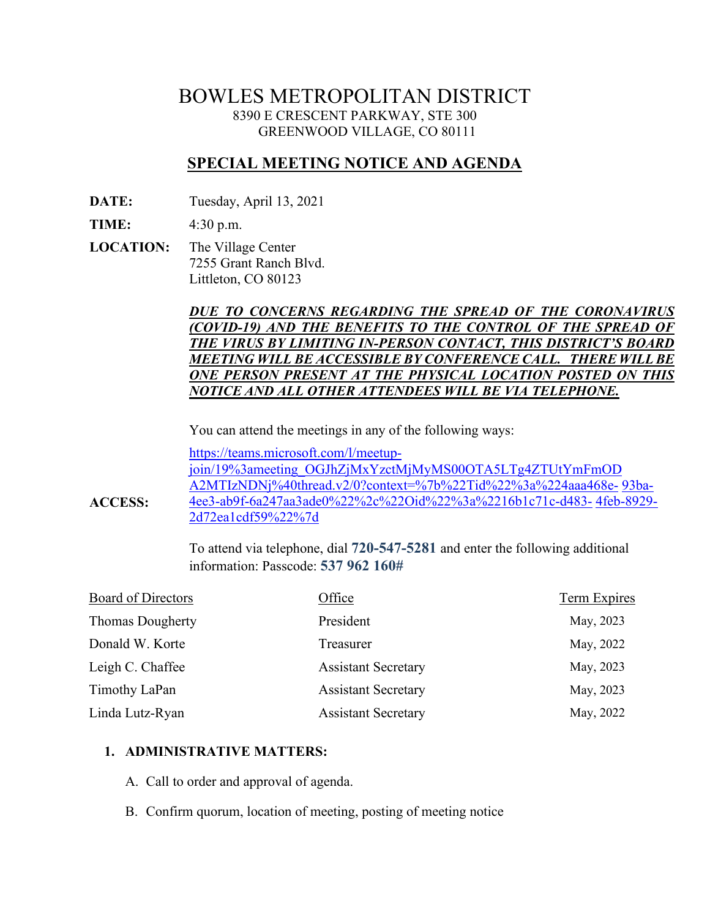# BOWLES METROPOLITAN DISTRICT 8390 E CRESCENT PARKWAY, STE 300 GREENWOOD VILLAGE, CO 80111

# **SPECIAL MEETING NOTICE AND AGENDA**

**DATE:** Tuesday, April 13, 2021

**TIME:** 4:30 p.m.

**ACCESS:**

**LOCATION:** The Village Center 7255 Grant Ranch Blvd. Littleton, CO 80123

# *DUE TO CONCERNS REGARDING THE SPREAD OF THE CORONAVIRUS (COVID-19) AND THE BENEFITS TO THE CONTROL OF THE SPREAD OF THE VIRUS BY LIMITING IN-PERSON CONTACT, THIS DISTRICT'S BOARD MEETING WILL BE ACCESSIBLE BY CONFERENCE CALL. THERE WILLBE ONE PERSON PRESENT AT THE PHYSICAL LOCATION POSTED ON THIS NOTICE AND ALL OTHER ATTENDEES WILL BE VIA TELEPHONE.*

You can attend the meetings in any of the following ways:

[https://teams.microsoft.com/l/meetup](https://teams.microsoft.com/l/meetup-join/19%3ameeting_OGJhZjMxYzctMjMyMS00OTA5LTg4ZTUtYmFmODA2MTIzNDNj%40thread.v2/0?context=%7b%22Tid%22%3a%224aaa468e-93ba-4ee3-ab9f-6a247aa3ade0%22%2c%22Oid%22%3a%2216b1c71c-d483-4feb-8929-2d72ea1cdf59%22%7d)[join/19%3ameeting\\_OGJhZjMxYzctMjMyMS00OTA5LTg4ZTUtYmFmOD](https://teams.microsoft.com/l/meetup-join/19%3ameeting_OGJhZjMxYzctMjMyMS00OTA5LTg4ZTUtYmFmODA2MTIzNDNj%40thread.v2/0?context=%7b%22Tid%22%3a%224aaa468e-93ba-4ee3-ab9f-6a247aa3ade0%22%2c%22Oid%22%3a%2216b1c71c-d483-4feb-8929-2d72ea1cdf59%22%7d) [A2MTIzNDNj%40thread.v2/0?context=%7b%22Tid%22%3a%224aaa468e-](https://teams.microsoft.com/l/meetup-join/19%3ameeting_OGJhZjMxYzctMjMyMS00OTA5LTg4ZTUtYmFmODA2MTIzNDNj%40thread.v2/0?context=%7b%22Tid%22%3a%224aaa468e-93ba-4ee3-ab9f-6a247aa3ade0%22%2c%22Oid%22%3a%2216b1c71c-d483-4feb-8929-2d72ea1cdf59%22%7d) [93ba-](https://teams.microsoft.com/l/meetup-join/19%3ameeting_OGJhZjMxYzctMjMyMS00OTA5LTg4ZTUtYmFmODA2MTIzNDNj%40thread.v2/0?context=%7b%22Tid%22%3a%224aaa468e-93ba-4ee3-ab9f-6a247aa3ade0%22%2c%22Oid%22%3a%2216b1c71c-d483-4feb-8929-2d72ea1cdf59%22%7d)[4ee3-ab9f-6a247aa3ade0%22%2c%22Oid%22%3a%2216b1c71c-d483-](https://teams.microsoft.com/l/meetup-join/19%3ameeting_OGJhZjMxYzctMjMyMS00OTA5LTg4ZTUtYmFmODA2MTIzNDNj%40thread.v2/0?context=%7b%22Tid%22%3a%224aaa468e-93ba-4ee3-ab9f-6a247aa3ade0%22%2c%22Oid%22%3a%2216b1c71c-d483-4feb-8929-2d72ea1cdf59%22%7d) [4feb-8929-](https://teams.microsoft.com/l/meetup-join/19%3ameeting_OGJhZjMxYzctMjMyMS00OTA5LTg4ZTUtYmFmODA2MTIzNDNj%40thread.v2/0?context=%7b%22Tid%22%3a%224aaa468e-93ba-4ee3-ab9f-6a247aa3ade0%22%2c%22Oid%22%3a%2216b1c71c-d483-4feb-8929-2d72ea1cdf59%22%7d) [2d72ea1cdf59%22%7d](https://teams.microsoft.com/l/meetup-join/19%3ameeting_OGJhZjMxYzctMjMyMS00OTA5LTg4ZTUtYmFmODA2MTIzNDNj%40thread.v2/0?context=%7b%22Tid%22%3a%224aaa468e-93ba-4ee3-ab9f-6a247aa3ade0%22%2c%22Oid%22%3a%2216b1c71c-d483-4feb-8929-2d72ea1cdf59%22%7d)

To attend via telephone, dial **720-547-5281** and enter the following additional information: Passcode: **537 962 160#**

| Board of Directors      | Office                     | <b>Term Expires</b> |
|-------------------------|----------------------------|---------------------|
| <b>Thomas Dougherty</b> | President                  | May, 2023           |
| Donald W. Korte         | Treasurer                  | May, 2022           |
| Leigh C. Chaffee        | <b>Assistant Secretary</b> | May, 2023           |
| Timothy LaPan           | <b>Assistant Secretary</b> | May, 2023           |
| Linda Lutz-Ryan         | <b>Assistant Secretary</b> | May, 2022           |

#### **1. ADMINISTRATIVE MATTERS:**

- A. Call to order and approval of agenda.
- B. Confirm quorum, location of meeting, posting of meeting notice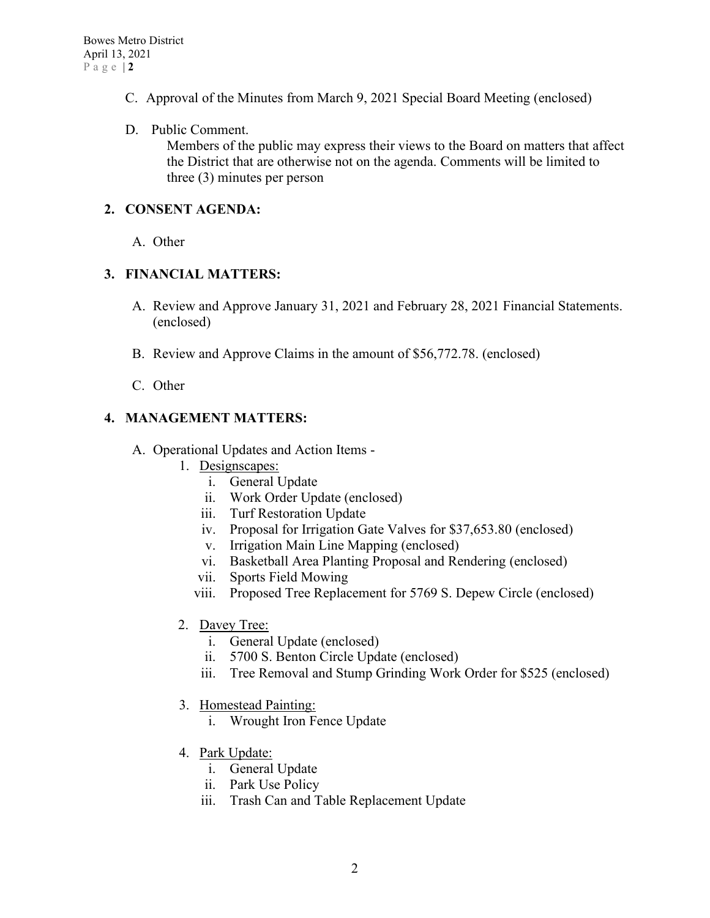- C. Approval of the Minutes from March 9, 2021 Special Board Meeting (enclosed)
- D. Public Comment.

Members of the public may express their views to the Board on matters that affect the District that are otherwise not on the agenda. Comments will be limited to three (3) minutes per person

# **2. CONSENT AGENDA:**

A. Other

### **3. FINANCIAL MATTERS:**

- A. Review and Approve January 31, 2021 and February 28, 2021 Financial Statements. (enclosed)
- B. Review and Approve Claims in the amount of \$56,772.78. (enclosed)
- C. Other

# **4. MANAGEMENT MATTERS:**

- A. Operational Updates and Action Items
	- 1. Designscapes:
		- i. General Update
		- ii. Work Order Update (enclosed)
		- iii. Turf Restoration Update
		- iv. Proposal for Irrigation Gate Valves for \$37,653.80 (enclosed)
		- v. Irrigation Main Line Mapping (enclosed)
		- vi. Basketball Area Planting Proposal and Rendering (enclosed)
		- vii. Sports Field Mowing
		- viii. Proposed Tree Replacement for 5769 S. Depew Circle (enclosed)
	- 2. Davey Tree:
		- i. General Update (enclosed)
		- ii. 5700 S. Benton Circle Update (enclosed)
		- iii. Tree Removal and Stump Grinding Work Order for \$525 (enclosed)
	- 3. Homestead Painting:
		- i. Wrought Iron Fence Update
	- 4. Park Update:
		- i. General Update
		- ii. Park Use Policy
		- iii. Trash Can and Table Replacement Update